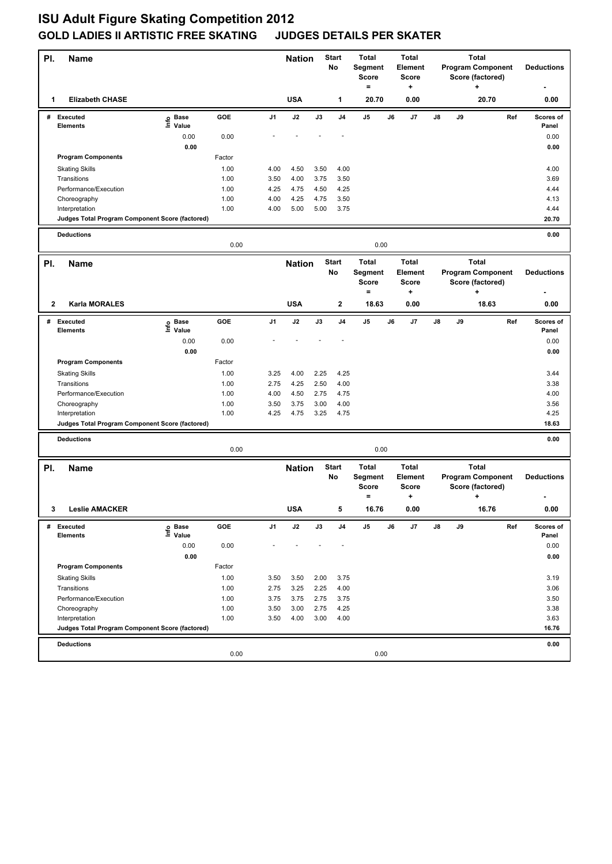## **ISU Adult Figure Skating Competition 2012 GOLD LADIES II ARTISTIC FREE SKATING JUDGES DETAILS PER SKATER**

| PI.          | <b>Name</b>                                                       |                   |              | Start<br><b>Nation</b><br>No |                                     | <b>Total</b><br>Segment<br><b>Score</b><br>$=$ | <b>Total</b><br>Element<br><b>Score</b><br>+                                                                 |                         | <b>Total</b><br><b>Program Component</b><br>Score (factored)<br>÷ |              |                                                           |                   | <b>Deductions</b> |     |                    |
|--------------|-------------------------------------------------------------------|-------------------|--------------|------------------------------|-------------------------------------|------------------------------------------------|--------------------------------------------------------------------------------------------------------------|-------------------------|-------------------------------------------------------------------|--------------|-----------------------------------------------------------|-------------------|-------------------|-----|--------------------|
| 1            | <b>Elizabeth CHASE</b>                                            |                   |              |                              | <b>USA</b>                          |                                                | 1                                                                                                            | 20.70                   |                                                                   | 0.00         |                                                           |                   | 20.70             |     | 0.00               |
|              | # Executed<br><b>Elements</b>                                     | e Base<br>⊑ Value | <b>GOE</b>   | J <sub>1</sub>               | J2                                  | J3                                             | J <sub>4</sub>                                                                                               | J5                      | J6                                                                | J7           | J8                                                        | J9                |                   | Ref | Scores of<br>Panel |
|              |                                                                   | 0.00              | 0.00         |                              |                                     |                                                |                                                                                                              |                         |                                                                   |              |                                                           |                   |                   |     | 0.00               |
|              |                                                                   | 0.00              |              |                              |                                     |                                                |                                                                                                              |                         |                                                                   |              |                                                           |                   |                   |     | 0.00               |
|              | <b>Program Components</b>                                         |                   | Factor       |                              |                                     |                                                |                                                                                                              |                         |                                                                   |              |                                                           |                   |                   |     |                    |
|              | <b>Skating Skills</b>                                             |                   | 1.00         | 4.00                         | 4.50                                | 3.50                                           | 4.00                                                                                                         |                         |                                                                   |              |                                                           |                   |                   |     | 4.00               |
|              | Transitions                                                       |                   | 1.00         | 3.50                         | 4.00                                | 3.75                                           | 3.50                                                                                                         |                         |                                                                   |              |                                                           |                   |                   |     | 3.69               |
|              | Performance/Execution                                             |                   | 1.00         | 4.25                         | 4.75                                | 4.50                                           | 4.25                                                                                                         |                         |                                                                   |              |                                                           |                   |                   |     | 4.44               |
|              | Choreography                                                      |                   | 1.00         | 4.00                         | 4.25                                | 4.75                                           | 3.50                                                                                                         |                         |                                                                   |              |                                                           |                   |                   |     | 4.13               |
|              | Interpretation<br>Judges Total Program Component Score (factored) |                   | 1.00         | 4.00                         | 5.00                                | 5.00                                           | 3.75                                                                                                         |                         |                                                                   |              |                                                           |                   |                   |     | 4.44<br>20.70      |
|              |                                                                   |                   |              |                              |                                     |                                                |                                                                                                              |                         |                                                                   |              |                                                           |                   |                   |     |                    |
|              | <b>Deductions</b>                                                 |                   | 0.00         |                              |                                     |                                                |                                                                                                              | 0.00                    |                                                                   |              |                                                           |                   |                   |     | 0.00               |
| PI.          | <b>Name</b>                                                       |                   |              |                              |                                     |                                                |                                                                                                              | <b>Total</b>            | <b>Total</b>                                                      | <b>Total</b> |                                                           |                   |                   |     |                    |
|              |                                                                   |                   |              |                              |                                     | <b>Start</b><br><b>Nation</b><br>No            |                                                                                                              | Segment<br>Score<br>$=$ | Element<br><b>Score</b><br>+                                      |              | <b>Program Component</b><br>Score (factored)<br>$\ddot{}$ |                   |                   |     | <b>Deductions</b>  |
| $\mathbf{2}$ | Karla MORALES                                                     |                   |              |                              | <b>USA</b>                          |                                                | 2                                                                                                            | 18.63                   |                                                                   | 0.00         |                                                           |                   | 18.63             |     | 0.00               |
| #            | <b>Executed</b>                                                   | e Base<br>E Value | <b>GOE</b>   | J1                           | J2                                  | J3                                             | J4                                                                                                           | J5                      | J6                                                                | J7           | J8                                                        | J9                |                   | Ref | Scores of          |
|              | <b>Elements</b>                                                   | Value             |              |                              |                                     |                                                |                                                                                                              |                         |                                                                   |              |                                                           |                   |                   |     | Panel              |
|              |                                                                   | 0.00              | 0.00         |                              |                                     |                                                |                                                                                                              |                         |                                                                   |              |                                                           |                   |                   |     | 0.00               |
|              |                                                                   | 0.00              |              |                              |                                     |                                                |                                                                                                              |                         |                                                                   |              |                                                           |                   |                   |     | 0.00               |
|              | <b>Program Components</b>                                         |                   | Factor       |                              |                                     |                                                |                                                                                                              |                         |                                                                   |              |                                                           |                   |                   |     |                    |
|              | <b>Skating Skills</b><br>Transitions                              |                   | 1.00<br>1.00 | 3.25<br>2.75                 | 4.00<br>4.25                        | 2.25<br>2.50                                   | 4.25<br>4.00                                                                                                 |                         |                                                                   |              |                                                           |                   |                   |     | 3.44<br>3.38       |
|              | Performance/Execution                                             |                   | 1.00         | 4.00                         | 4.50                                | 2.75                                           | 4.75                                                                                                         |                         |                                                                   |              |                                                           |                   |                   |     | 4.00               |
|              | Choreography                                                      |                   | 1.00         | 3.50                         | 3.75                                | 3.00                                           | 4.00                                                                                                         |                         |                                                                   |              |                                                           |                   |                   |     | 3.56               |
|              | Interpretation                                                    |                   | 1.00         | 4.25                         | 4.75                                | 3.25                                           | 4.75                                                                                                         |                         |                                                                   |              |                                                           |                   |                   |     | 4.25               |
|              | Judges Total Program Component Score (factored)                   |                   |              |                              |                                     |                                                |                                                                                                              |                         |                                                                   |              |                                                           |                   |                   |     | 18.63              |
|              | <b>Deductions</b>                                                 |                   |              |                              |                                     |                                                |                                                                                                              |                         |                                                                   |              |                                                           |                   |                   |     | 0.00               |
|              |                                                                   |                   | 0.00         |                              |                                     |                                                |                                                                                                              | 0.00                    |                                                                   |              |                                                           |                   |                   |     |                    |
| PI.          | Name                                                              |                   |              |                              | <b>Start</b><br><b>Nation</b><br>No |                                                | <b>Total</b><br><b>Total</b><br>Segment<br>Element<br><b>Score</b><br><b>Score</b><br>$\qquad \qquad =$<br>٠ |                         | <b>Total</b><br><b>Program Component</b><br>Score (factored)<br>+ |              |                                                           | <b>Deductions</b> |                   |     |                    |
|              | 3 Leslie AMACKER                                                  |                   |              |                              | <b>USA</b>                          |                                                |                                                                                                              | 16.76                   |                                                                   | 0.00         |                                                           |                   | 16.76             |     | 0.00               |
| #            | <b>Executed</b>                                                   | e Base<br>⊑ Value | GOE          | J1                           | $\mathsf{J}2$                       | J3                                             | J4                                                                                                           | J5                      | J6                                                                | J7           | J8                                                        | J9                |                   | Ref | Scores of          |
|              | Elements                                                          |                   |              |                              |                                     |                                                |                                                                                                              |                         |                                                                   |              |                                                           |                   |                   |     | Panel              |
|              |                                                                   | 0.00              | 0.00         |                              |                                     |                                                |                                                                                                              |                         |                                                                   |              |                                                           |                   |                   |     | 0.00               |
|              | <b>Program Components</b>                                         | 0.00              |              |                              |                                     |                                                |                                                                                                              |                         |                                                                   |              |                                                           |                   |                   |     | 0.00               |
|              |                                                                   |                   | Factor       |                              |                                     |                                                |                                                                                                              |                         |                                                                   |              |                                                           |                   |                   |     |                    |
|              | <b>Skating Skills</b><br>Transitions                              |                   | 1.00<br>1.00 | 3.50<br>2.75                 | 3.50<br>3.25                        | 2.00<br>2.25                                   | 3.75<br>4.00                                                                                                 |                         |                                                                   |              |                                                           |                   |                   |     | 3.19<br>3.06       |
|              | Performance/Execution                                             |                   | 1.00         | 3.75                         | 3.75                                | 2.75                                           | 3.75                                                                                                         |                         |                                                                   |              |                                                           |                   |                   |     | 3.50               |
|              | Choreography                                                      |                   | 1.00         | 3.50                         | 3.00                                | 2.75                                           | 4.25                                                                                                         |                         |                                                                   |              |                                                           |                   |                   |     | 3.38               |
|              | Interpretation                                                    |                   | 1.00         | 3.50                         | 4.00                                | 3.00                                           | 4.00                                                                                                         |                         |                                                                   |              |                                                           |                   |                   |     | 3.63               |
|              | Judges Total Program Component Score (factored)                   |                   |              |                              |                                     |                                                |                                                                                                              |                         |                                                                   |              |                                                           |                   |                   |     | 16.76              |
|              | <b>Deductions</b>                                                 |                   |              |                              |                                     |                                                |                                                                                                              |                         |                                                                   |              |                                                           |                   |                   |     | 0.00               |
|              |                                                                   |                   | 0.00         |                              |                                     |                                                |                                                                                                              | 0.00                    |                                                                   |              |                                                           |                   |                   |     |                    |